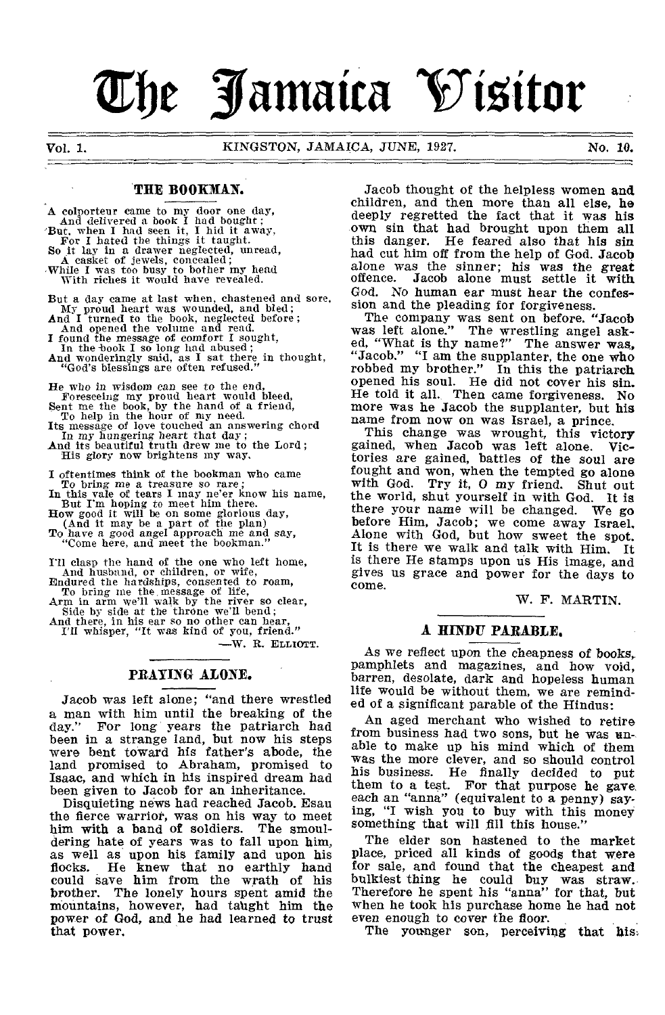# **The Jamaica Visitor**

Vol. 1. KINGSTON, JAMAICA, JUNE, 1927. No. 10. 10.

#### **THE BOOKMAN.**

- A colporteur came to my door one day, And delivered a book I had bought; 'But. when I had seen it, I hid it away, For I hated the things it taught.
- 
- 
- So it lay in a drawer neglected, unread, A casket of jewels, concealed ; ,While I was too busy to bother my head With riches it would have revealed.
- 
- But a day came at last when, chastened and sore, My proud heart was wounded, and bled ; And I turned to the book, neglected before ; And opened the volume and read. I found the message of comfort I sought,
- 
- 
- 
- In the hook I so long had abused ; And wonderingly said, as I sat there in thought, "God's blessings are often refused."
- He who in wisdom can see to the end,
- Foreseeing my proud heart would bleed, Sent me the book, by the hand of a friend, To help in the hour of my need.
- 
- 
- Its message of love touched an answering chord<br>
In my hungering heart that day;<br>
And its beautiful truth drew me to the Lord;<br>
His glory now brightens my way.
- I oftentimes think of the bookman who came
- To bring me a treasure so rare;<br>In this vale of tears I may ne'er know his name,
- 
- 
- But I'm hoping to meet him there.<br>
How good it will be on some glorious day,<br>
(And it may be a part of the plan)<br>
To have a good angel approach me and say,<br>
"Come here, and meet the bookman."
- I'll clasp the hand of the one who left home, And husband, or children, or wife,
- Endured the hardships, consented to roam,
- 
- To bring me the message of life,<br>
Arm in arm we'll walk by the river so clear,<br>
Side by side at the throne we'll bend;<br>
And there, in his ear so no other can hear,<br>
I'll whisper, "It was kind of you, friend."
- 

—W. R. ELLIOTT.

#### **PRAYING ALONE.**

Jacob was left alone; "and there wrestled a man with him until the breaking of the day." For long years the patriarch had For long years the patriarch had been in a strange land, but now his steps were bent toward his father's abode, the land promised to Abraham, promised to Isaac, and which in his inspired dream had been given to Jacob for an inheritance.

Disquieting news had reached Jacob. Esau the fierce warrior, was on his way to meet him with a band of soldiers. The smouldering hate of years was to fall upon him, as well as upon his family and upon his flocks. He knew that no earthly hand could save him from the wrath of his brother. The lonely hours spent amid the mountains, however, had taught him the power of God, and he had learned to trust that power.

Jacob thought of the helpless women **and**  children, and then more than all else, **he**  deeply regretted the fact that it was his own sin that had brought upon them all this danger. He feared also that his sin had cut him off from the help of God. Jacob alone was the sinner; his was the great offence. Jacob alone must settle it with God. No human ear must hear the confession and the pleading for forgiveness.

The company was sent on before. "Jacob was left alone." The wrestling angel asked, "What is thy name?" The answer was, "Jacob." "I am the supplanter, the one who robbed my brother." In this the patriarch opened his soul. He did not cover his sin. He told it all. Then came forgiveness. No more was he Jacob the supplanter, but his name from now on was Israel, a prince.

This change was wrought, this victory gained, when Jacob was left alone. Victories are gained, battles of the soul are fought and won, when the tempted go alone with God. Try it, 0 my friend. Shut out the world, shut yourself in with God. It is there your name will be changed. We go before Him, Jacob; we come away Israel. Alone with God, but how sweet the spot. It is there we walk and talk with Him. It is there He stamps upon us His image, and gives us grace and power for the days to come.

W. F. MARTIN.

#### **A HINDU PARABLE.**

As we reflect upon the cheapness of books, pamphlets and magazines, and how void, barren, desolate, dark and hopeless human life would be without them, we are reminded of a significant parable of the Hindus:

An aged merchant who wished to retire from business had two sons, but he was unable to make up his mind which of them was the more clever, and so should control his business. He finally decided to put them to a test. For that purpose he gave each an "anna" (equivalent to a penny) saying, "I wish you to buy with this money something that will fill this house."

The elder son hastened to the market place, priced all kinds of goods that were for sale, and found that the cheapest and bulkiest thing he could buy was straw. Therefore he spent his "anna" for that, but when he took his purchase home he had not even enough to cover the floor.

The younger son, perceiving that his,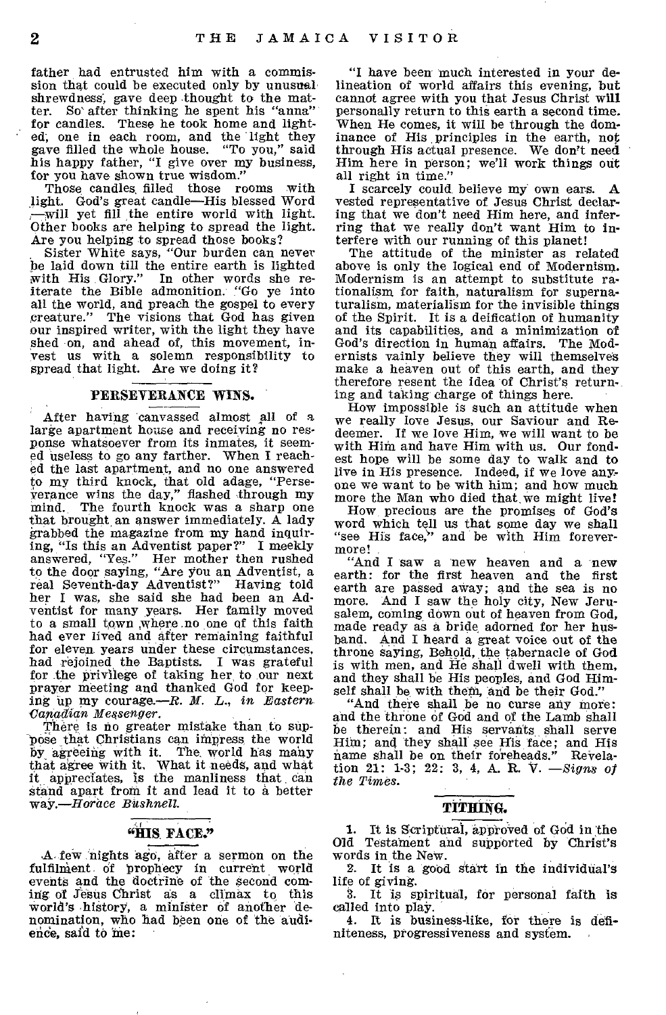father had entrusted him with a commission that could be executed only by unusual shrewdness, gave deep thought to the matter. So' after thinking he spent his "anna" for candles. These he took home and lighted, one in each room, and the light they gave filled the whole house. "To you," said his happy father, "I give over my business, for you have shown true wisdom."

Those candles filled those rooms with light. God's great candle—His blessed Word —will yet fill the entire world with light. Other books are helping to spread the light. Are you helping to spread those books?

Sister White says, 'Our burden can never be laid down till the entire earth is lighted with His Glory." In other words she reiterate the Bible admonition. "Go ye into all the world, and preach the gospel to every creature." The visions that God has given our inspired writer, with the light they have shed on, and ahead of, this movement, invest us with a solemn responsibility to spread that light. Are we doing it?

#### PERSEVERANCE WINS.

After having canvassed almost all of a large apartment house and receiving no response whatsoever from its inmates, it seemed useless to go any farther. When I reached the last apartment, and no one answered to my third knock, that old adage, "Perseverance wins the day," flashed through my mind. The fourth knock was a sharp one that brought an answer immediately. A lady grabbed the magazine from my hand inquiring, "Is this an Adventist paper?" I meekly answered, "Yes." Her mother then rushed to the door saying, "Are you an Adventist, a real Seventh-day Adventist?" Having told her I was, she said she had been an Adventist for many years. Her family moved to a small town ,where no one of this faith had ever lived and after remaining faithful for eleven years under these circumstances, had rejoined the Baptists. I was grateful for the privilege of taking her to our next prayer meeting and thanked God for keeping up my courage.—R. *M. L., in Eastern. Canadian Messenger.* 

There is no greater mistake than to suppose that Christians can impress, the world by agreeing with it. The world has many that agree with it. What it needs, and what it appreciates, is the manliness that can stand apart from it and lead it to a better way.-Horace Bushnell.

#### "HIS FACE."

A few nights ago, after a sermon on the fulfilment of prophecy in current world events and the doctrine of the second coming. of Jesus Christ as a climax to this world's history, a minister of another denomination, who had been one of the audience, said to me:

"I have been much interested in your delineation of world affairs this evening, but cannot agree with you that Jesus Christ will personally return to this earth a second time. When He comes, it will be through the dominance of His principles in the earth, not through His actual presence. We don't need Him here in person; we'll work things out all right in time."

I scarcely could believe my own ears. A vested representative of Jesus Christ declaring that we don't need Him here, and inferring that we really don't want Him to interfere with our running of this planet!

The attitude of the minister as related above is only the logical end of Modernism. Modernism is an attempt to substitute rationalism for faith, naturalism for supernaturalism, materialism for the invisible things of the Spirit. It is a deification of humanity and its capabilities, and a minimization of God's direction in human affairs. The Modernists vainly believe they will themselves make a heaven out of this earth, and they therefore resent the idea of Christ's returning and taking' charge of things here.

How impossible is such an attitude when we really love Jesus, our Saviour and Redeemer. If we love Him, we will want to be with Him and have Him with us. Our fondest hope will be some day to walk and to live in His presence. Indeed, if we love anyone we want to be with him; and how much more the Man who died that we might live!

How precious are the promises of God's word which tell *us* that some day we shall "see His face," and be with Him forevermore!

"And I saw a new heaven and a new earth: for the first heaven and the first earth are passed away; and the sea is no more. And I saw the holy city, New Jerusalem, coming down out of heaven from God, made ready as a bride, adorned for her husband. And I heard a great voice out of the throne saying, Behold, the tabernacle of God is with men, and He shall dwell with them, and they shall be His peoples, and God Himself shall be with them, and be their God."

"And there shall be no curse any more: and the throne of God and of the Lamb shall be therein: and His servants shall serve Him; and they shall see His face; and His name shall be on their foreheads." Revelation 21: 1-3; 22: 3, 4, A. R. V.  $-Signs$  of *the Times.* 

#### TITHING.

1. It is Scriptural, approved of God in the Old Testament and supported by Christ's words in the New.

2. It is a good start In the individual's life of giving.

3. It is spiritual, for personal faith is called into play.

4. It is business-like, for there is definiteness, progressiveness and sysfem.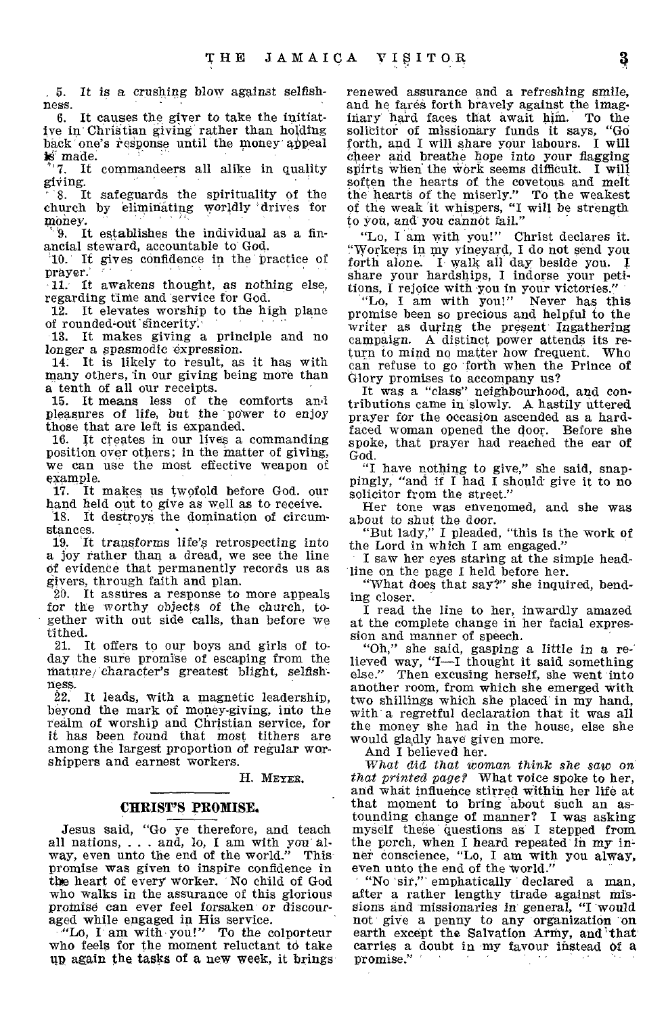5. It is a crushing blow against selfishness.

6. It causes the giver to take the initiative in Christian giving rather than holding back one's response until the money appeal

is' made. It commandeers all alike in quality

' 8. It safeguards the spirituality of the church by eliminating worldly drives for money.

9. It establishes the individual as a financial steward, accountable to God.

'10. It gives confidence in the practice of

prayer.<br>11. It awakens thought, as nothing else, regarding time and service for God.

12. It elevates worship to the high plane of rounded-out sincerity.

13. It makes giving a principle and no longer a spasmodic expression.

14: It is likely to result, as it has with many others, in our giving being more than a tenth of all our receipts.

15. It means less of the comforts and pleasures of life, but the pOwer to enjoy those that are left is expanded.

16. It creates in our lives a commanding position over others; in the matter of giving, we can use the most effective weapon of example.<br>17. It

It makes us twofold before God. our hand held out to give as well as to receive.

18. It destroys the domination of circumstances.

19. It transforms life's retrospecting into a joy rather than a dread, we see the line of evidence that permanently records us as givers, through faith and plan.

20. It assures a response to more appeals for the worthy objects of the church, together with out side calls, than before we tithed.

21. It offers to our boys and girls of today the sure promise of escaping from the Mature/ character's greatest blight, selfishness.

22. It leads, with a magnetic leadership, beyond the mark of money-giving, into the realm of worship and Christian service, for it has been found that most tithers are among the largest proportion of regular worshippers and earnest workers.

H. MEYER.

#### **CHRIST'S PROMISE.**

Jesus said, "Go ye therefore, and teach all nations, . . . and, lo, I am with you alway, even unto the end of the world." This promise was given to inspire confidence in the heart of every worker. No child of God who walks in the assurance of this glorious promise can ever feel forsaken or discouraged while engaged in His service.

"Lo, I am with you!" To the colporteur who feels for the moment reluctant td take up again the tasks of a new week, it brings renewed assurance and a refreshing smile, and he fares forth bravely against the imaginary hard faces that await him. To the solicitor of missionary funds it says, "Go forth, and I will share your labours. I will cheer amid breathe hope into your flagging spirts when the work seems difficult. I will soften the hearts of the covetous and melt the hearts of the miserly." To the weakest of the weak it whispers, "I will be strength to you, and you Cannot fail."

"Lo, I am with you!" Christ declares it. `Workers in my vineyard, I do not send you forth alone. I walk all day beside you. share your hardships, I indorse your petitions, I rejoice with you in your victories."

"Lo, I am with you!" Never has this promise been so precious and helpful to the writer as during the present Ingathering campaign. A distinct power attends its return to mind no matter how frequent. Who can refuse to go forth when the Prince of Glory promises to accompany us?

It was a "class" neighbourhood, and contributions came in'slowly. A. hastily uttered prayer for the occasion ascended as a hardfaced woman opened the door. Before she spoke, that prayer had reached the ear of God.

"I have nothing to give," she said, snappingly, "and if I had I should give it to no solicitor from the street.

Her tone was envenomed, and she was about to shut the door.

"But lady," I pleaded, "this is the work of the Lord in which I am engaged."

I saw her eyes staring at the simple headline on the page I held before her.

"What does that say?" she inquired, bending closer.

I read the line to her, inwardly amazed at the complete change in her facial expression and manner of speech.

"Oh," she said, gasping a little in a relieved way, "I—I thought it said something else." Then excusing herself, she went into another room, from which she emerged with two shillings which she placed in my hand, with a regretful declaration that it was all the money she had in the house, else she would gladly have given more.

And I believed her.

*What did that Woman think she saw* on *that printed page?* What voice spoke to her, and what influence stirred within her life at that moment to bring about such an astounding change of manner? I was asking myself these questions as I stepped from the porch, when I heard repeated in my innet conscience, "Lo, I am with you alway, even unto the end of the World."

"No sir,"' emphatically declared a man, after a rather lengthy tirade against missions and missionaries in general, "I would not give a penny to any organization on earth except the Salvation Army, and that carries a doubt in my favour instead Of a promise."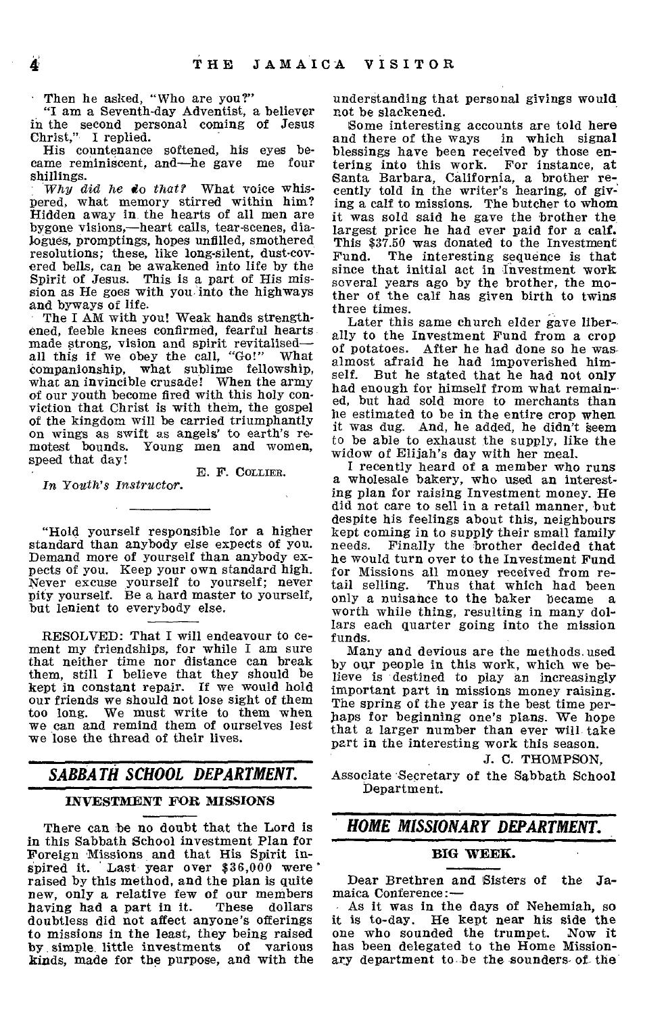Then he asked, "Who are you?"

"I am a Seventh-day Adventist, a believer in the second personal coming of Jesus Christ," I replied.

His countenance softened, his eyes became reminiscent, and—he gave me four shillings.

*Why did he do that?* What voice whispered, what memory stirred within him? Hidden away in, the hearts of all men are bygone visions,—heart calls, tear-scenes, dialogues, promptings, hopes unfilled, smothered resolutions; these, like long-silent, dust-covered bells, can be awakened into life by the Spirit of Jesus. This is a part of His mission as He goes with you into the highways and byways of life.

The I AM with you! Weak hands strengthened, feeble knees confirmed, fearful hearts made strong, vision and spirit revitalised—<br>all this if we obey the call "Go!" What all this if we obey the call. "Go!" companionship, what sublime fellowship, what an invincible crusade! When the army of our youth become fired with this holy conviction that Christ is with them, the gospel of the kingdom will be carried triumphantly on wings as swift as angels' to earth's remotest bounds. Young men and women, speed that day!

E. F. COLLIER. *In Youth's Instructor.* 

"Hold yourself responsible for a higher standard than anybody else expects of you. Demand more of yourself than anybody expects of you. Keep your own standard high. Never excuse yourself to yourself; never pity yourself. Be a hard master to yourself, but lenient to everybody else.

RESOLVED: That I will endeavour to cement my friendships, for while I am sure that neither time nor distance can break them, still I believe that they should be kept in constant repair. If we would hold our friends we should not lose sight of them too long. We must write to them when we can and remind them of ourselves lest we lose the thread of their lives.

## *SABBATH SCHOOL DEPARTMENT.*

#### INVESTMENT FOR MISSIONS

There can be no doubt that the Lord is in this Sabbath School investment Plan for Foreign Missions and that His Spirit inspired it. Last year over  $$36,000$  were' raised by this method, and the plan is quite new, only a relative few of our members<br>having had a part in it. These dollars having had a part in it. doubtless did not affect anyone's offerings to missions in the least, they being raised by simple little investments of various kinds, made for the purpose, and With the

understanding that personal givings would not be slackened.

Some interesting accounts are told here<br>d there of the ways in which signal and there of the ways blessings have been received by those entering into this work. For instance, at Santa Barbara, California, a brother recently told in the writer's hearing, of giving a calf to missions. The butcher to whom it was sold said he gave the brother the largest price he had ever paid for a calf. This \$37.50 was donated to the Investment Fund. The interesting sequence is that since that initial act in Investment work several years ago by the brother, the mother of the calf has given birth to twins three times.

Later this same church elder gave liberally to the Investment Fund from a crop of potatoes. After he had done so he wasalmost afraid he had impoverished him-But he stated that he had not only had enough for himself from what remained, but had sold more to merchants than he estimated to be in the entire crop when it was dug. And, he added, he didn't seem to be able to exhaust the supply, like the widow of Elijah's day with her meal.

I recently heard of a member who runs a wholesale bakery, who used an interesting plan for raising Investment money. He did not care to sell in a retail manner, but despite his feelings about this, neighbours kept coming in to supply their small family<br>needs. Finally, the prother decided that Finally the brother decided that he would turn over to the Investment Fund for Missions all money received from re-Thus that which had been only a nuisance to the baker became a worth while thing, resulting in many dollars each quarter going into the mission funds.

Many and devious are the methods. used by our people in this work, which we believe is destined to play an increasingly important part in missions money raising. The spring of the year is the best time perhaps for beginning one's plans. We hope that a larger number than ever will take part in the interesting work this season.

J. C. THOMPSON,

Associate Secretary of the Sabbath School Department.

# *HOME MISSIONARY DEPARTMENT.*

#### BIG WEEK.

Dear Brethren and Sisters of the Jamaica Conference:—

As it was in the days of Nehemiah, so it is to-day. He kept near his side the one who sounded the trumpet. has been delegated to the Home Missionary department to be the sounders- of the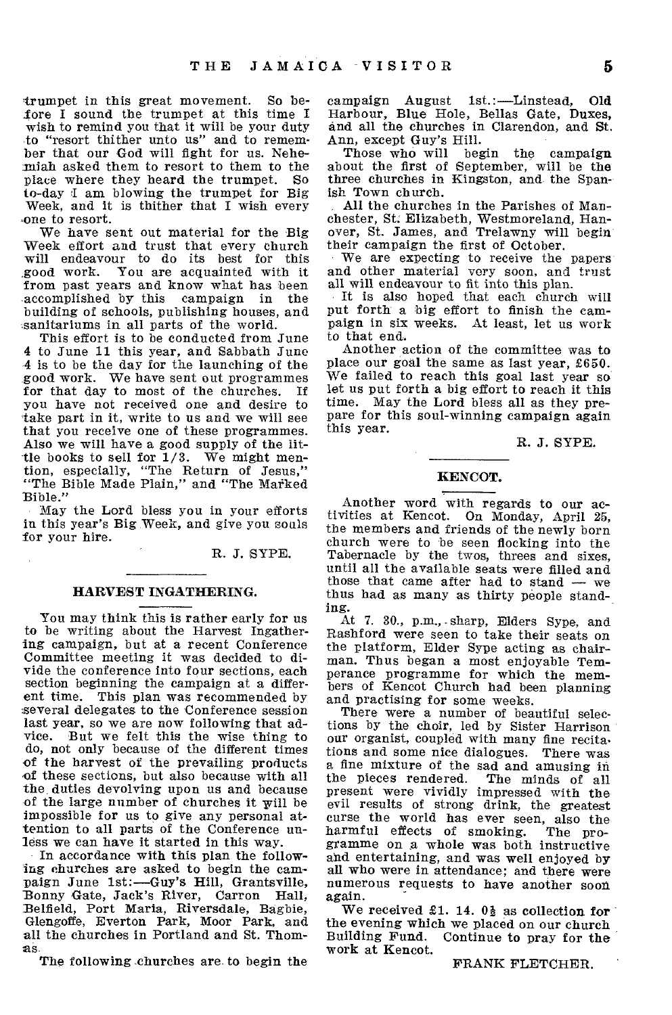-trumpet in this great movement. So before I sound the trumpet at this time I wish to remind you that it will be your duty to "resort thither unto us" and to remember that our God will fight for us. Nehemiah asked them to resort to them to the<br>place where they heard the trumpet. So place where they heard the trumpet. to-day 1 am blowing the trumpet for Big Week, and it is thither that I wish every ,one to resort.

We have sent out material for the Big Week effort and trust that every church will endeavour to do its best for this good work. You are acquainted with it You are acquainted with it from past years and know what has been accomplished by this campaign in the building of schools, publishing houses, and sanitariums in all parts of the world.

This effort is to be conducted from June 4 to June 11 this year, and Sabbath June 4 is to be the day for the launching of the good work. We have sent out programmes for that day to most of the churches. If you have not received one and desire to take part in it, write to us and we will see that you receive one of these programmes. Also we will have a good supply of the little books to sell for 1/3. We might mention, especially, "The Return of Jesus," "The Bible Made Plain," and "The Mafked

May the Lord bless you in your efforts in this year's Big Week, and give you souls for your hire.

R. J. SYPE.

#### HARVEST INGATHERING.

You may think this is rather early for us to be writing about the Harvest Ingathering campaign, but at a recent Conference Committee meeting it was decided to divide the conference into four sections, each section beginning the campaign at a different time. This plan was recommended by several delegates to the Conference session last year, so we are now following that advice. But we felt this the wise thing to do, not only because of the different times of the harvest of the prevailing products of these sections, but also because with all the duties devolving upon us and because of the large number of churches it will be impossible for us to give any personal attention to all parts of the Conference unless we can have it started in this way.

In accordance with this plan the following churches are asked to begin the campaign June lst:—Guy's Hill, Grantsville, Bonny Gate, Jack's River, Carron Hall, Belfield, Port Maria, Riversdale, Bagbie, Glengoffe, Everton Park, Moor Park, and all the churches in Portland and St. Thomas-

The following churches are to begin the

campaign August 1st.:—Linstead, Old Harbour, Blue Hole, Bellas Gate, Duxes, and all the churches in Clarendon, and St. Ann, except Guy's Hill.<br>Those who will beg

begin the campaign about the first of September, will be the three churches in Kingston, and the Spanish Town church.

All the churches in the Parishes of Manchester, St. Elizabeth, Westmoreland, Hanover, St. James, and Trelawny will begin their campaign the first of October.

We are expecting to receive the papers and other material very soon, and trust all will endeavour to fit into this plan.

It is also hoped that each church will put forth a big effort to finish the campaign in six weeks. At least, let us work to that end.

Another action of the committee was to place our goal the same as last year, £650. We failed to reach this goal last year so let us put forth a big effort to reach it this time. May the Lord bless all as they prepare for this soul-winning campaign again this year.

R. J. SYPE.

#### KENCOT.

Another word with regards to our activities at Kencot. On Monday, April 25, the members and friends of the newly born church were to be seen flocking into the Tabernacle by the twos, threes and sixes, until all the available seats were filled and those that came after had to stand — we thus had as many as thirty people standing.

At 7. 30., p.m., sharp, Elders Sype, and Rashford were seen to take their seats on the platform, Elder Sype acting as chairman. Thus began a most enjoyable Temperance programme for which the members of Kencot Church had been planning and practising for some weeks.

There were a number of beautiful selections by the choir, led by Sister Harrison our organist, coupled with many fine recitations and some nice dialogues. There was a fine mixture of the sad and amusing in<br>the pieces rendered. The minds of all The minds of all present were vividly impressed with the evil results of strong drink, the greatest curse the world has ever seen, also the<br>harmful effects of smoking. The proharmful effects of smoking. gramme on a whole was both instructive and entertaining, and was well enjoyed by all who were in attendance; and there were numerous requests to have another soon again.

We received £1. 14.  $0\frac{1}{2}$  as collection for  $\frac{1}{2}$ the evening which we placed on our church<br>Building Fu**n**d. Continue to pray for the Continue to pray for the work at Kencot.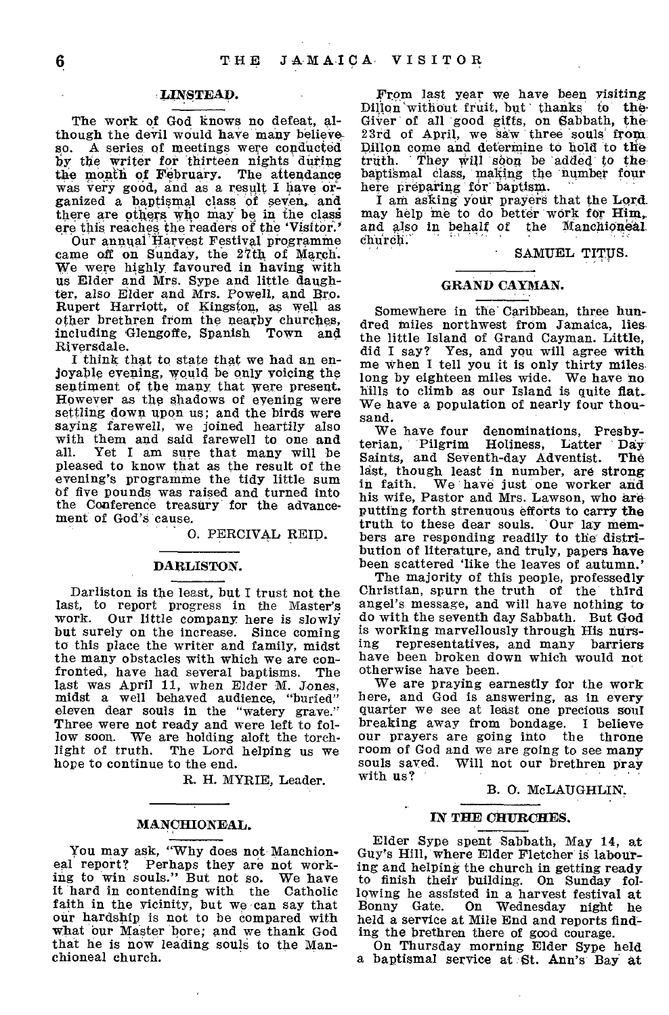#### 14NSTEAD.

The work of God knows no defeat, although the devil would have many believe so. A series of meetings were conducted by the writer for thirteen nights during the month of February. The attendance Was very good, and as a result I have organized a baptismal class of seven, and there are others who may be in the clasi ere this reaches the readers of the 'Visitor.'

Our annual Harvest Festival programme came off on Sunday, the 27th of March. We were highly favoured in having with us Elder and Mrs. Sype and little daughter, also Elder and Mrs. Powell, and Bro. Rupert Harriott, of Kingston, as well as other brethren from the nearby churches, including 'Glengoffe, Spanish Town and Riversdale.

I think that to state that we had an enjoyable evening, would be only voicing the sentiment of the many that were present. However as the shadows of evening were settling down upon us; and the birds were saying farewell, we joined heartily also with them and said farewell to one and all. Yet I am sure that many will be pleased to know that as the result of the evening's programme the tidy little sum bf five pounds was raised and turned into the Conference treasury for the advancement of God'S'cause.

0. PERCIVAL REID.

#### DARLISTON.

Darliston is the least, but I trust not the last, to report progress in the Master's<br>work. Our little company here is slowly Our little company here is slowly but surely on the increase. Since coming to this place the writer and family, midst the many obstacles with which we are confronted, have had several baptisms. The last was April 11, when Elder M. Jones, midst a well behaved audience, "buried" eleven dear souls in the "watery grave." Three were not ready and were left to follow soon. We are holding aloft the torch-light of truth. The Lord helping us we hope to continue to the end.

R. H. MYRIE, Leader.

#### **MANCHIONEAL.**

You may ask, "Why does not Manchioneal report? Perhaps they are not working to win souls." But not so. We have it hard in contending with the Catholic faith in the vicinity, but we can say that our hardship is not to be compared with What our Master bore; and we thank God that he is now leading souls to the Manchioneal church.

From last year we have been visiting Dillon without fruit, but thanks to the Giver of all good gifts, on Sabbath, the 23rd of April, we saw three souls from Dillon come and determine to hold to the truth. They will soon be added to the baptismal class, making the number four here preparing for baptism.

I am asking your prayers that the Lord. may help me to do better work for **Him**, and also in behalf of the Manchioneal.<br>church.

SAMUEL TITUS.

#### GRAND CAYMAN.

Somewhere in the Caribbean, three hundred miles northwest from Jamaica, lies• the little Island of Grand Cayman. Little, did I say? Yes, and you will agree with me when I tell you it is only thirty miles long by eighteen miles wide. We have no hills to climb as our Island is quite flat. We have a population of nearly four thousand.

We have four denominations, Presbyterian, Pilgrim Holiness, Latter Day Saints, and Seventh-day Adventist. The last, though least in number, are strong in faith. We have just one worker and his wife, Pastor and Mrs. Lawson, who *are*  putting forth strenuous efforts to carry **the**  truth to these dear souls. Our **lay members** are responding readily to the distribution of literature, and truly, papers **have**  been scattered 'like the leaves of autumn.'

The majority of this people, professedly Christian, spurn the truth of the third angel's message, and will have nothing to do with the seventh day Sabbath. But **God**  is working marvellously through His nursing representatives, and many **barriers**  have been broken down which would not otherwise have been.

We are praying earnestly for the work here, and God is answering, as in every quarter we see at least one precious soul breaking away from bondage. I believe our prayers are going into the throne room of God and we are going to see **many**  souls saved. Will not our brethren pray with us?

#### **B. 0. McLAUGHLIN.**

#### **IN THE** *CHURCHES.*

Elder Sype spent Sabbath, May 14, **at**  Guy's Hill, where Elder Fletcher is **labouring** and helping the church in getting ready to finish their building. On Sunday following he assisted in a harvest festival **at**  On Wednesday night he held a service at Mile End and reports **finding** the brethren there of good courage.

On Thursday morning Elder Sype held a baptismal service at St. Ann's Bay at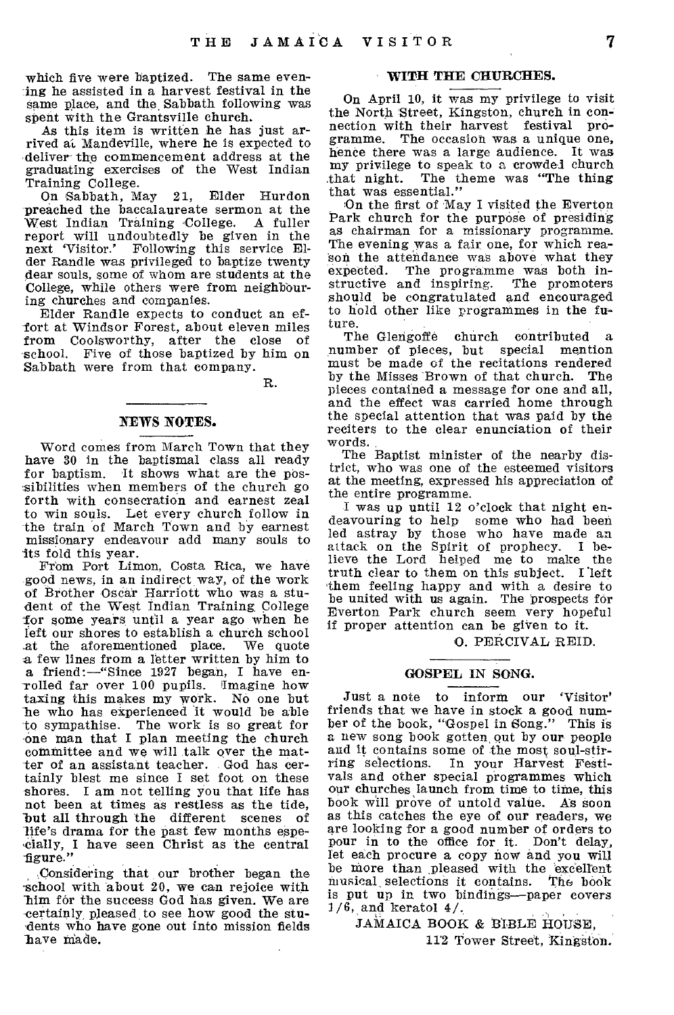which five were baptized. The same evening he assisted in a harvest festival in the same place, and the Sabbath following was spent with the Grantsville church.

As this item is written he has just arrived at Mandeville, where he is expected to deliver the commencement address at the graduating exercises of the West Indian Training College.

On Sabbath, May 21, Elder Hurdon preached the baccalaureate sermon at the West Indian Training College. A fuller report will undoubtedly be given in the next 'Visitor.' Following this service Elder Randle was privileged to baptize twenty dear souls, some of whom are students at the College, while others were from neighbouring churches and companies.

Elder Randle expects to conduct an effort at Windsor Forest, about eleven miles from Coolsworthy, after the close of school. Five of those baptized by him on Sabbath were from that company.

R.

#### NEWS NOTES.

Word comes from March Town that they have 30 in the baptismal class all ready for baptism. It shows what are the possibilities when members of the church go forth with consecration and earnest zeal to win souls. Let every church follow in the train of March Town and by earnest missionary endeavour add many souls to its fold this year.

From Port Limon, Costa Rica, we have good news, in an indirect way, of the work of Brother Oscar Harriott who was a student of the West Indian Training, College for some years until a year ago when he left our shores to establish a church school .at the aforementioned place. -a few lines from a letter written by him to a friend:—"Since 1927 began, I have en- -rolled far over 100 pupils. Imagine how taxing this makes my work. No one but he who has experienced it would be able to sympathise. The work is so great for -one man that I plan meeting the church committee and we will talk over the matter of an assistant teacher. God has certainly blest me since I set foot on these shores. I am not telling you that life has not been at times as restless as the tide, 'but all through the different scenes of life's drama for the past few months especially, I have seen Christ as the central figure."

Considering that our brother began the •school with about 20, we can rejoice with him for the success God has given. We are certainly, pleased, to see how good the stu- -dents who have gone out into mission fields have made.

#### WITH THE CHURCHES.

On April 10, it was my privilege to visit the North Street, Kingston, church in connection with their harvest festival programme. The occasion was a unique one, hence there was a large audience. It was my privilege to speak to a crowded church<br>that night. The theme was "The thing The theme was "The thing that was essential."

On the first of May I visited the Everton Park church for the purpose of presiding as chairman for a missionary programme. The evening was a fair one, for which reason the attendance was above what they expected. The programme was both instructive and inspiring. The promoters should be congratulated and encouraged to hold other like programmes in the future.

The Glengoffe church contributed a number of pieces, but special mention must be made of the recitations rendered by the Misses Brown of that church. The pieces contained a message for one and all, and the effect was carried home through the special attention that was paid by the reciters to the clear enunciation of their words.

The Baptist minister of the nearby district, who was one of the esteemed visitors at the meeting, expressed his appreciation of the entire programme.

I was up until 12 o'clock that night endeavouring to help some who had been led astray by those who have made an attack on the Spirit of prophecy. I believe the Lord helped me to make the truth clear to them on this subject. I 'left 'them feeling happy and with a desire to be united with us again. The prospects for Everton Park church seem very hopeful if proper attention can be given to it.

O. PERCIVAL REID.

### GOSPEL IN SONG.

Just a note to inform our 'Visitor' friends that we have in stock a good number of the book, "Gospel in Song." This is a new song book gotten, out by our people and it contains some of the most soul-stirring selections. In your Harvest Festivals and other special programmes which our churches launch from time to time, this book will prove of untold value. As soon as this catches the eye of our readers, we are looking for a good number of orders to pour in to the office for it. Don't delay, let each procure a copy now and you will be more than pleased with the excellent musical selections it contains. The book is put up in two bindings—paper covers<br>1/6, and keratol 4/.<br>JAMAICA BOOK & BIBLE HOUSE  $1/6$ , and keratol  $4/$ .

JAMAICA BOOK & BIBLE HOUSE,

112 Tower Street, Kingston.